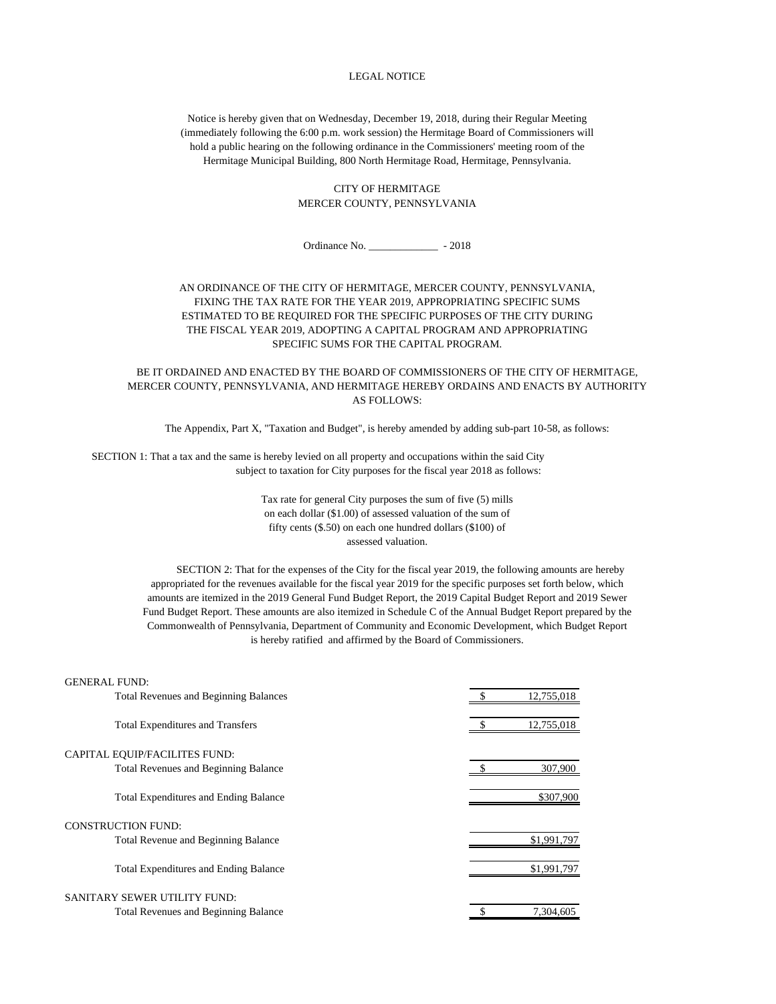## LEGAL NOTICE

Notice is hereby given that on Wednesday, December 19, 2018, during their Regular Meeting (immediately following the 6:00 p.m. work session) the Hermitage Board of Commissioners will hold a public hearing on the following ordinance in the Commissioners' meeting room of the Hermitage Municipal Building, 800 North Hermitage Road, Hermitage, Pennsylvania.

## CITY OF HERMITAGE MERCER COUNTY, PENNSYLVANIA

Ordinance No. \_\_\_\_\_\_\_\_\_\_\_\_\_ - 2018

## AN ORDINANCE OF THE CITY OF HERMITAGE, MERCER COUNTY, PENNSYLVANIA, FIXING THE TAX RATE FOR THE YEAR 2019, APPROPRIATING SPECIFIC SUMS ESTIMATED TO BE REQUIRED FOR THE SPECIFIC PURPOSES OF THE CITY DURING THE FISCAL YEAR 2019, ADOPTING A CAPITAL PROGRAM AND APPROPRIATING SPECIFIC SUMS FOR THE CAPITAL PROGRAM.

BE IT ORDAINED AND ENACTED BY THE BOARD OF COMMISSIONERS OF THE CITY OF HERMITAGE, MERCER COUNTY, PENNSYLVANIA, AND HERMITAGE HEREBY ORDAINS AND ENACTS BY AUTHORITY AS FOLLOWS:

The Appendix, Part X, "Taxation and Budget", is hereby amended by adding sub-part 10-58, as follows:

 SECTION 1: That a tax and the same is hereby levied on all property and occupations within the said City subject to taxation for City purposes for the fiscal year 2018 as follows:

> Tax rate for general City purposes the sum of five (5) mills on each dollar (\$1.00) of assessed valuation of the sum of fifty cents (\$.50) on each one hundred dollars (\$100) of assessed valuation.

 SECTION 2: That for the expenses of the City for the fiscal year 2019, the following amounts are hereby appropriated for the revenues available for the fiscal year 2019 for the specific purposes set forth below, which amounts are itemized in the 2019 General Fund Budget Report, the 2019 Capital Budget Report and 2019 Sewer Fund Budget Report. These amounts are also itemized in Schedule C of the Annual Budget Report prepared by the Commonwealth of Pennsylvania, Department of Community and Economic Development, which Budget Report is hereby ratified and affirmed by the Board of Commissioners.

| <b>GENERAL FUND:</b>                         |             |
|----------------------------------------------|-------------|
| <b>Total Revenues and Beginning Balances</b> | 12,755,018  |
| <b>Total Expenditures and Transfers</b>      | 12,755,018  |
| CAPITAL EQUIP/FACILITES FUND:                |             |
| <b>Total Revenues and Beginning Balance</b>  | 307,900     |
| <b>Total Expenditures and Ending Balance</b> | \$307,900   |
| <b>CONSTRUCTION FUND:</b>                    |             |
| <b>Total Revenue and Beginning Balance</b>   | \$1,991,797 |
| <b>Total Expenditures and Ending Balance</b> | \$1,991,797 |
| SANITARY SEWER UTILITY FUND:                 |             |
| <b>Total Revenues and Beginning Balance</b>  | 7.304.605   |